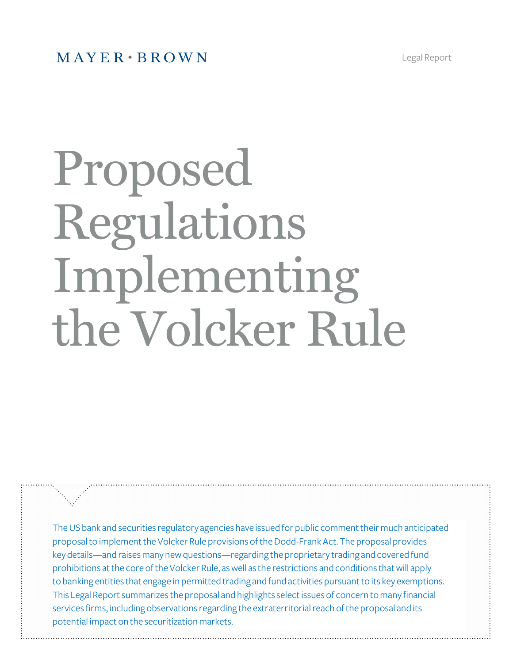Legal Report

# Proposed Regulations Implementing the Volcker Rule

AMECURRENT 700657801.3 19-Oct-11 12:53 prohibitions at the core of the Volcker Rule, as well as the restrictions and conditions that will apply The US bank and securities regulatory agencies have issued for public comment their much anticipated proposal to implement the Volcker Rule provisions of the Dodd-Frank Act. The proposal provides key details—and raises many new questions—regarding the proprietary trading and covered fund to banking entities that engage in permitted trading and fund activities pursuant to its key exemptions. This Legal Report summarizes the proposal and highlights select issues of concern to many financial services firms, including observations regarding the extraterritorial reach of the proposal and its potential impact on the securitization markets.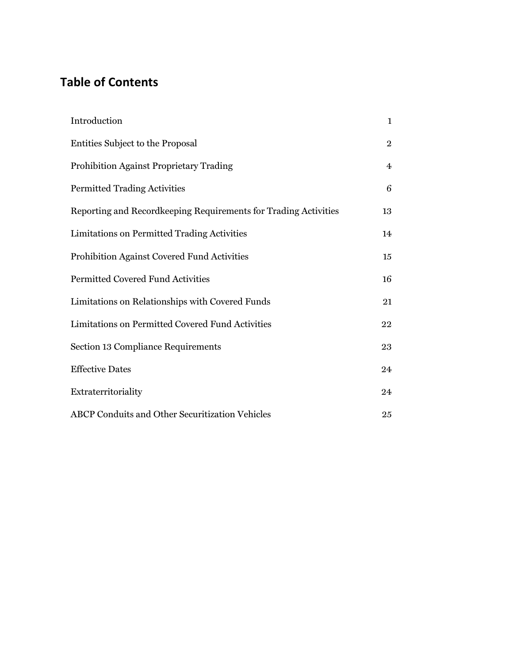# **Table of Contents**

| Introduction                                                    | $\mathbf 1$      |
|-----------------------------------------------------------------|------------------|
| Entities Subject to the Proposal                                | $\boldsymbol{2}$ |
| Prohibition Against Proprietary Trading                         | $\overline{4}$   |
| <b>Permitted Trading Activities</b>                             | 6                |
| Reporting and Recordkeeping Requirements for Trading Activities | 13               |
| Limitations on Permitted Trading Activities                     | 14               |
| Prohibition Against Covered Fund Activities                     | 15               |
| <b>Permitted Covered Fund Activities</b>                        | 16               |
| Limitations on Relationships with Covered Funds                 | 21               |
| Limitations on Permitted Covered Fund Activities                | 22               |
| Section 13 Compliance Requirements                              | 23               |
| <b>Effective Dates</b>                                          | 24               |
| Extraterritoriality                                             | 24               |
| <b>ABCP</b> Conduits and Other Securitization Vehicles          | 25               |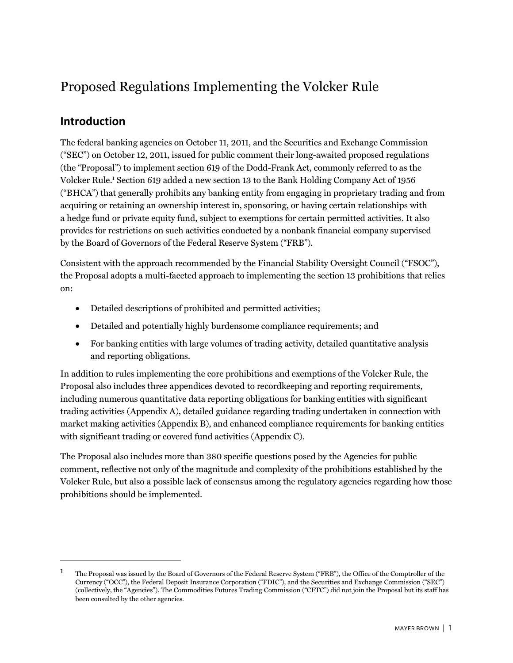# Proposed Regulations Implementing the Volcker Rule

## <span id="page-4-0"></span>**Introduction**

The federal banking agencies on October 11, 2011, and the Securities and Exchange Commission ("SEC") on October 12, 2011, issued for public comment their long-awaited proposed regulations (the "Proposal") to implement section 619 of the Dodd-Frank Act, commonly referred to as the Volcker Rule.[1](#page-4-1) Section 619 added a new section 13 to the Bank Holding Company Act of 1956 ("BHCA") that generally prohibits any banking entity from engaging in proprietary trading and from acquiring or retaining an ownership interest in, sponsoring, or having certain relationships with a hedge fund or private equity fund, subject to exemptions for certain permitted activities. It also provides for restrictions on such activities conducted by a nonbank financial company supervised by the Board of Governors of the Federal Reserve System ("FRB").

Consistent with the approach recommended by the Financial Stability Oversight Council ("FSOC"), the Proposal adopts a multi-faceted approach to implementing the section 13 prohibitions that relies on:

- Detailed descriptions of prohibited and permitted activities;
- Detailed and potentially highly burdensome compliance requirements; and
- For banking entities with large volumes of trading activity, detailed quantitative analysis and reporting obligations.

In addition to rules implementing the core prohibitions and exemptions of the Volcker Rule, the Proposal also includes three appendices devoted to recordkeeping and reporting requirements, including numerous quantitative data reporting obligations for banking entities with significant trading activities (Appendix A), detailed guidance regarding trading undertaken in connection with market making activities (Appendix B), and enhanced compliance requirements for banking entities with significant trading or covered fund activities (Appendix C).

The Proposal also includes more than 380 specific questions posed by the Agencies for public comment, reflective not only of the magnitude and complexity of the prohibitions established by the Volcker Rule, but also a possible lack of consensus among the regulatory agencies regarding how those prohibitions should be implemented.

<span id="page-4-1"></span><sup>&</sup>lt;sup>1</sup> The Proposal was issued by the Board of Governors of the Federal Reserve System ("FRB"), the Office of the Comptroller of the Currency ("OCC"), the Federal Deposit Insurance Corporation ("FDIC"), and the Securities and Exchange Commission ("SEC") (collectively, the "Agencies"). The Commodities Futures Trading Commission ("CFTC") did not join the Proposal but its staff has been consulted by the other agencies.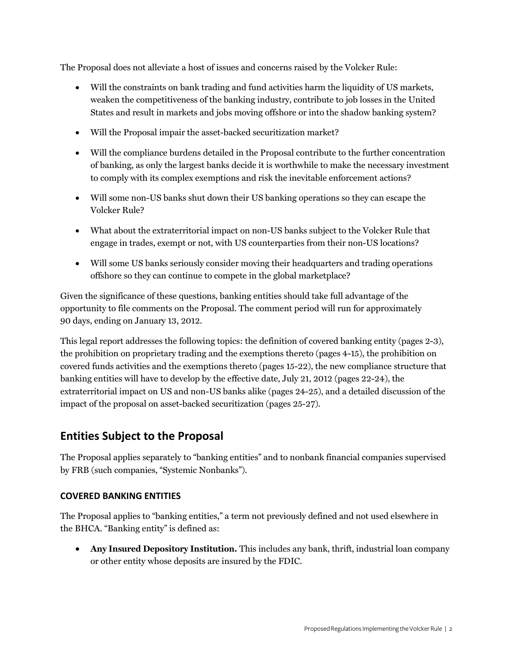The Proposal does not alleviate a host of issues and concerns raised by the Volcker Rule:

- Will the constraints on bank trading and fund activities harm the liquidity of US markets, weaken the competitiveness of the banking industry, contribute to job losses in the United States and result in markets and jobs moving offshore or into the shadow banking system?
- Will the Proposal impair the asset-backed securitization market?
- Will the compliance burdens detailed in the Proposal contribute to the further concentration of banking, as only the largest banks decide it is worthwhile to make the necessary investment to comply with its complex exemptions and risk the inevitable enforcement actions?
- Will some non-US banks shut down their US banking operations so they can escape the Volcker Rule?
- What about the extraterritorial impact on non-US banks subject to the Volcker Rule that engage in trades, exempt or not, with US counterparties from their non-US locations?
- Will some US banks seriously consider moving their headquarters and trading operations offshore so they can continue to compete in the global marketplace?

Given the significance of these questions, banking entities should take full advantage of the opportunity to file comments on the Proposal. The comment period will run for approximately 90 days, ending on January 13, 2012.

This legal report addresses the following topics: the definition of covered banking entity (pages 2-3), the prohibition on proprietary trading and the exemptions thereto (pages 4-15), the prohibition on covered funds activities and the exemptions thereto (pages 15-22), the new compliance structure that banking entities will have to develop by the effective date, July 21, 2012 (pages 22-24), the extraterritorial impact on US and non-US banks alike (pages 24-25), and a detailed discussion of the impact of the proposal on asset-backed securitization (pages 25-27).

## <span id="page-5-0"></span>**Entities Subject to the Proposal**

The Proposal applies separately to "banking entities" and to nonbank financial companies supervised by FRB (such companies, "Systemic Nonbanks").

#### **COVERED BANKING ENTITIES**

The Proposal applies to "banking entities," a term not previously defined and not used elsewhere in the BHCA. "Banking entity" is defined as:

 **Any Insured Depository Institution.** This includes any bank, thrift, industrial loan company or other entity whose deposits are insured by the FDIC.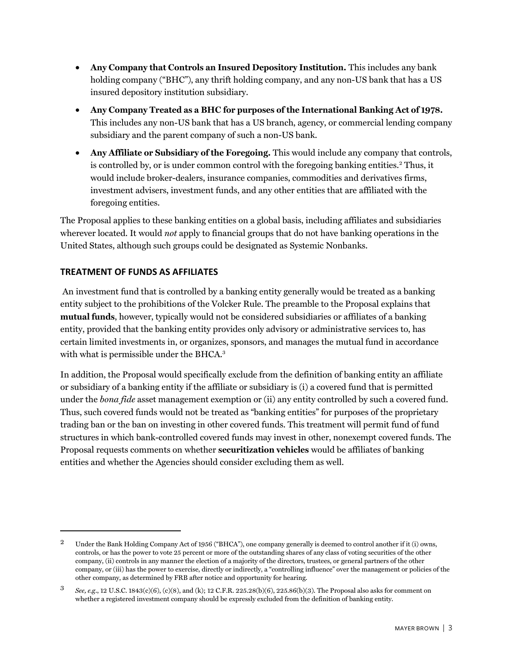- **Any Company that Controls an Insured Depository Institution.** This includes any bank holding company ("BHC"), any thrift holding company, and any non-US bank that has a US insured depository institution subsidiary.
- **Any Company Treated as a BHC for purposes of the International Banking Act of 1978.** This includes any non-US bank that has a US branch, agency, or commercial lending company subsidiary and the parent company of such a non-US bank.
- **Any Affiliate or Subsidiary of the Foregoing.** This would include any company that controls, is controlled by, or is under common control with the foregoing banking entities.[2](#page-6-0) Thus, it would include broker-dealers, insurance companies, commodities and derivatives firms, investment advisers, investment funds, and any other entities that are affiliated with the foregoing entities.

The Proposal applies to these banking entities on a global basis, including affiliates and subsidiaries wherever located. It would *not* apply to financial groups that do not have banking operations in the United States, although such groups could be designated as Systemic Nonbanks.

## **TREATMENT OF FUNDS AS AFFILIATES**

An investment fund that is controlled by a banking entity generally would be treated as a banking entity subject to the prohibitions of the Volcker Rule. The preamble to the Proposal explains that **mutual funds**, however, typically would not be considered subsidiaries or affiliates of a banking entity, provided that the banking entity provides only advisory or administrative services to, has certain limited investments in, or organizes, sponsors, and manages the mutual fund in accordance with what is permissible under the BHCA.<sup>[3](#page-6-1)</sup>

In addition, the Proposal would specifically exclude from the definition of banking entity an affiliate or subsidiary of a banking entity if the affiliate or subsidiary is (i) a covered fund that is permitted under the *bona fide* asset management exemption or (ii) any entity controlled by such a covered fund. Thus, such covered funds would not be treated as "banking entities" for purposes of the proprietary trading ban or the ban on investing in other covered funds. This treatment will permit fund of fund structures in which bank-controlled covered funds may invest in other, nonexempt covered funds. The Proposal requests comments on whether **securitization vehicles** would be affiliates of banking entities and whether the Agencies should consider excluding them as well.

<span id="page-6-0"></span><sup>&</sup>lt;sup>2</sup> Under the Bank Holding Company Act of 1956 ("BHCA"), one company generally is deemed to control another if it (i) owns, controls, or has the power to vote 25 percent or more of the outstanding shares of any class of voting securities of the other company, (ii) controls in any manner the election of a majority of the directors, trustees, or general partners of the other company, or (iii) has the power to exercise, directly or indirectly, a "controlling influence" over the management or policies of the other company, as determined by FRB after notice and opportunity for hearing.

<span id="page-6-1"></span><sup>3</sup> *See*, *e.g*., 12 U.S.C. 1843(c)(6), (c)(8), and (k); 12 C.F.R. 225.28(b)(6), 225.86(b)(3). The Proposal also asks for comment on whether a registered investment company should be expressly excluded from the definition of banking entity.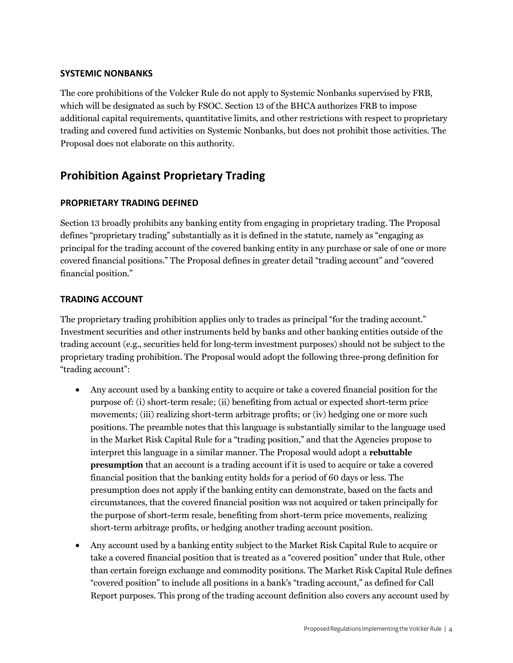#### **SYSTEMIC NONBANKS**

The core prohibitions of the Volcker Rule do not apply to Systemic Nonbanks supervised by FRB, which will be designated as such by FSOC. Section 13 of the BHCA authorizes FRB to impose additional capital requirements, quantitative limits, and other restrictions with respect to proprietary trading and covered fund activities on Systemic Nonbanks, but does not prohibit those activities. The Proposal does not elaborate on this authority.

# <span id="page-7-0"></span>**Prohibition Against Proprietary Trading**

#### **PROPRIETARY TRADING DEFINED**

Section 13 broadly prohibits any banking entity from engaging in proprietary trading. The Proposal defines "proprietary trading" substantially as it is defined in the statute, namely as "engaging as principal for the trading account of the covered banking entity in any purchase or sale of one or more covered financial positions." The Proposal defines in greater detail "trading account" and "covered financial position."

#### **TRADING ACCOUNT**

The proprietary trading prohibition applies only to trades as principal "for the trading account." Investment securities and other instruments held by banks and other banking entities outside of the trading account (e.g., securities held for long-term investment purposes) should not be subject to the proprietary trading prohibition. The Proposal would adopt the following three-prong definition for "trading account":

- Any account used by a banking entity to acquire or take a covered financial position for the purpose of: (i) short-term resale; (ii) benefiting from actual or expected short-term price movements; (iii) realizing short-term arbitrage profits; or (iv) hedging one or more such positions. The preamble notes that this language is substantially similar to the language used in the Market Risk Capital Rule for a "trading position," and that the Agencies propose to interpret this language in a similar manner. The Proposal would adopt a **rebuttable presumption** that an account is a trading account if it is used to acquire or take a covered financial position that the banking entity holds for a period of 60 days or less. The presumption does not apply if the banking entity can demonstrate, based on the facts and circumstances, that the covered financial position was not acquired or taken principally for the purpose of short-term resale, benefiting from short-term price movements, realizing short-term arbitrage profits, or hedging another trading account position.
- Any account used by a banking entity subject to the Market Risk Capital Rule to acquire or take a covered financial position that is treated as a "covered position" under that Rule, other than certain foreign exchange and commodity positions. The Market Risk Capital Rule defines "covered position" to include all positions in a bank's "trading account," as defined for Call Report purposes. This prong of the trading account definition also covers any account used by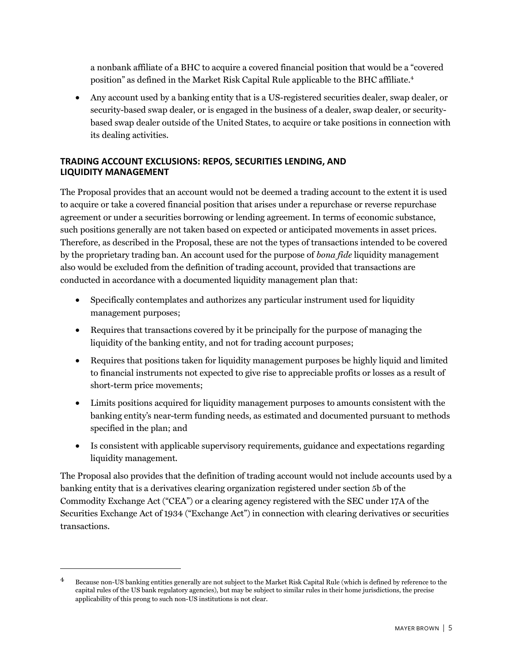a nonbank affiliate of a BHC to acquire a covered financial position that would be a "covered position" as defined in the Market Risk Capital Rule applicable to the BHC affiliate.<sup>[4](#page-8-0)</sup>

 Any account used by a banking entity that is a US-registered securities dealer, swap dealer, or security-based swap dealer, or is engaged in the business of a dealer, swap dealer, or securitybased swap dealer outside of the United States, to acquire or take positions in connection with its dealing activities.

#### **TRADING ACCOUNT EXCLUSIONS: REPOS, SECURITIES LENDING, AND LIQUIDITY MANAGEMENT**

The Proposal provides that an account would not be deemed a trading account to the extent it is used to acquire or take a covered financial position that arises under a repurchase or reverse repurchase agreement or under a securities borrowing or lending agreement. In terms of economic substance, such positions generally are not taken based on expected or anticipated movements in asset prices. Therefore, as described in the Proposal, these are not the types of transactions intended to be covered by the proprietary trading ban. An account used for the purpose of *bona fide* liquidity management also would be excluded from the definition of trading account, provided that transactions are conducted in accordance with a documented liquidity management plan that:

- Specifically contemplates and authorizes any particular instrument used for liquidity management purposes;
- Requires that transactions covered by it be principally for the purpose of managing the liquidity of the banking entity, and not for trading account purposes;
- Requires that positions taken for liquidity management purposes be highly liquid and limited to financial instruments not expected to give rise to appreciable profits or losses as a result of short-term price movements;
- Limits positions acquired for liquidity management purposes to amounts consistent with the banking entity's near-term funding needs, as estimated and documented pursuant to methods specified in the plan; and
- Is consistent with applicable supervisory requirements, guidance and expectations regarding liquidity management.

The Proposal also provides that the definition of trading account would not include accounts used by a banking entity that is a derivatives clearing organization registered under section 5b of the Commodity Exchange Act ("CEA") or a clearing agency registered with the SEC under 17A of the Securities Exchange Act of 1934 ("Exchange Act") in connection with clearing derivatives or securities transactions.

<span id="page-8-0"></span><sup>4</sup> Because non-US banking entities generally are not subject to the Market Risk Capital Rule (which is defined by reference to the capital rules of the US bank regulatory agencies), but may be subject to similar rules in their home jurisdictions, the precise applicability of this prong to such non-US institutions is not clear.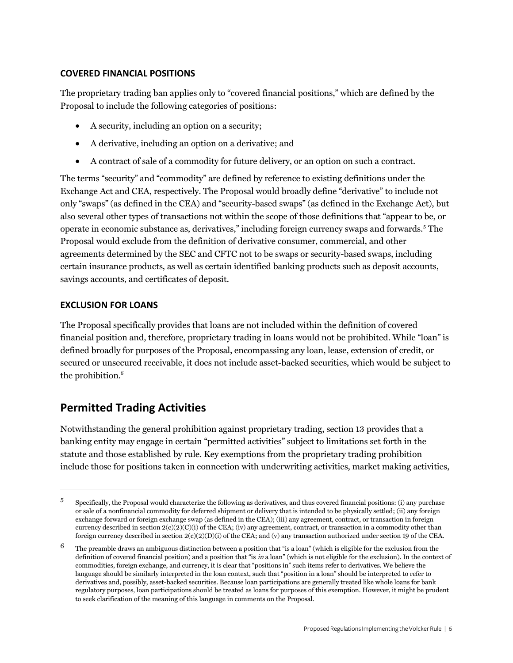#### **COVERED FINANCIAL POSITIONS**

The proprietary trading ban applies only to "covered financial positions," which are defined by the Proposal to include the following categories of positions:

- A security, including an option on a security;
- A derivative, including an option on a derivative; and
- A contract of sale of a commodity for future delivery, or an option on such a contract.

The terms "security" and "commodity" are defined by reference to existing definitions under the Exchange Act and CEA, respectively. The Proposal would broadly define "derivative" to include not only "swaps" (as defined in the CEA) and "security-based swaps" (as defined in the Exchange Act), but also several other types of transactions not within the scope of those definitions that "appear to be, or operate in economic substance as, derivatives," including foreign currency swaps and forwards.[5](#page-9-1) The Proposal would exclude from the definition of derivative consumer, commercial, and other agreements determined by the SEC and CFTC not to be swaps or security-based swaps, including certain insurance products, as well as certain identified banking products such as deposit accounts, savings accounts, and certificates of deposit.

#### **EXCLUSION FOR LOANS**

The Proposal specifically provides that loans are not included within the definition of covered financial position and, therefore, proprietary trading in loans would not be prohibited. While "loan" is defined broadly for purposes of the Proposal, encompassing any loan, lease, extension of credit, or secured or unsecured receivable, it does not include asset-backed securities, which would be subject to the prohibition.<sup>6</sup>

## <span id="page-9-0"></span>**Permitted [Tr](#page-9-2)ading Activities**

Notwithstanding the general prohibition against proprietary trading, section 13 provides that a banking entity may engage in certain "permitted activities" subject to limitations set forth in the statute and those established by rule. Key exemptions from the proprietary trading prohibition include those for positions taken in connection with underwriting activities, market making activities,

<span id="page-9-1"></span> $5$  Specifically, the Proposal would characterize the following as derivatives, and thus covered financial positions: (i) any purchase or sale of a nonfinancial commodity for deferred shipment or delivery that is intended to be physically settled; (ii) any foreign exchange forward or foreign exchange swap (as defined in the CEA); (iii) any agreement, contract, or transaction in foreign currency described in section 2(c)(2)(C)(i) of the CEA; (iv) any agreement, contract, or transaction in a commodity other than foreign currency described in section 2(c)(2)(D)(i) of the CEA; and (v) any transaction authorized under section 19 of the CEA.

<span id="page-9-2"></span><sup>6</sup> The preamble draws an ambiguous distinction between a position that "is a loan" (which is eligible for the exclusion from the definition of covered financial position) and a position that "is in a loan" (which is not eligible for the exclusion). In the context of commodities, foreign exchange, and currency, it is clear that "positions in" such items refer to derivatives. We believe the language should be similarly interpreted in the loan context, such that "position in a loan" should be interpreted to refer to derivatives and, possibly, asset-backed securities. Because loan participations are generally treated like whole loans for bank regulatory purposes, loan participations should be treated as loans for purposes of this exemption. However, it might be prudent to seek clarification of the meaning of this language in comments on the Proposal.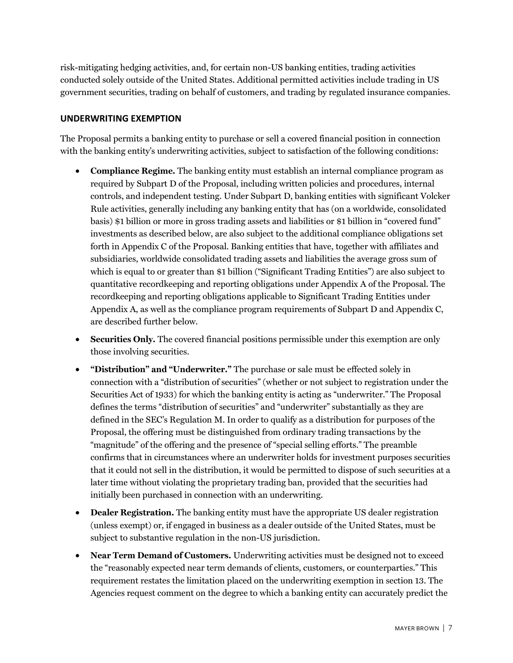risk-mitigating hedging activities, and, for certain non-US banking entities, trading activities conducted solely outside of the United States. Additional permitted activities include trading in US government securities, trading on behalf of customers, and trading by regulated insurance companies.

#### **UNDERWRITING EXEMPTION**

The Proposal permits a banking entity to purchase or sell a covered financial position in connection with the banking entity's underwriting activities, subject to satisfaction of the following conditions:

- **Compliance Regime.** The banking entity must establish an internal compliance program as required by Subpart D of the Proposal, including written policies and procedures, internal controls, and independent testing. Under Subpart D, banking entities with significant Volcker Rule activities, generally including any banking entity that has (on a worldwide, consolidated basis) \$1 billion or more in gross trading assets and liabilities or \$1 billion in "covered fund" investments as described below, are also subject to the additional compliance obligations set forth in Appendix C of the Proposal. Banking entities that have, together with affiliates and subsidiaries, worldwide consolidated trading assets and liabilities the average gross sum of which is equal to or greater than \$1 billion ("Significant Trading Entities") are also subject to quantitative recordkeeping and reporting obligations under Appendix A of the Proposal. The recordkeeping and reporting obligations applicable to Significant Trading Entities under Appendix A, as well as the compliance program requirements of Subpart D and Appendix C, are described further below.
- **Securities Only.** The covered financial positions permissible under this exemption are only those involving securities.
- **"Distribution" and "Underwriter."** The purchase or sale must be effected solely in connection with a "distribution of securities" (whether or not subject to registration under the Securities Act of 1933) for which the banking entity is acting as "underwriter." The Proposal defines the terms "distribution of securities" and "underwriter" substantially as they are defined in the SEC's Regulation M. In order to qualify as a distribution for purposes of the Proposal, the offering must be distinguished from ordinary trading transactions by the "magnitude" of the offering and the presence of "special selling efforts." The preamble confirms that in circumstances where an underwriter holds for investment purposes securities that it could not sell in the distribution, it would be permitted to dispose of such securities at a later time without violating the proprietary trading ban, provided that the securities had initially been purchased in connection with an underwriting.
- **Dealer Registration.** The banking entity must have the appropriate US dealer registration (unless exempt) or, if engaged in business as a dealer outside of the United States, must be subject to substantive regulation in the non-US jurisdiction.
- **Near Term Demand of Customers.** Underwriting activities must be designed not to exceed the "reasonably expected near term demands of clients, customers, or counterparties." This requirement restates the limitation placed on the underwriting exemption in section 13. The Agencies request comment on the degree to which a banking entity can accurately predict the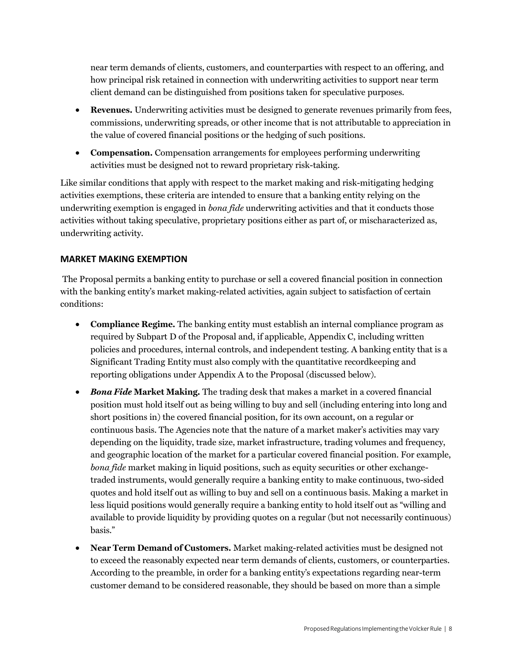near term demands of clients, customers, and counterparties with respect to an offering, and how principal risk retained in connection with underwriting activities to support near term client demand can be distinguished from positions taken for speculative purposes.

- **Revenues.** Underwriting activities must be designed to generate revenues primarily from fees, commissions, underwriting spreads, or other income that is not attributable to appreciation in the value of covered financial positions or the hedging of such positions.
- **Compensation.** Compensation arrangements for employees performing underwriting activities must be designed not to reward proprietary risk-taking.

Like similar conditions that apply with respect to the market making and risk-mitigating hedging activities exemptions, these criteria are intended to ensure that a banking entity relying on the underwriting exemption is engaged in *bona fide* underwriting activities and that it conducts those activities without taking speculative, proprietary positions either as part of, or mischaracterized as, underwriting activity.

#### **MARKET MAKING EXEMPTION**

The Proposal permits a banking entity to purchase or sell a covered financial position in connection with the banking entity's market making-related activities, again subject to satisfaction of certain conditions:

- **Compliance Regime.** The banking entity must establish an internal compliance program as required by Subpart D of the Proposal and, if applicable, Appendix C, including written policies and procedures, internal controls, and independent testing. A banking entity that is a Significant Trading Entity must also comply with the quantitative recordkeeping and reporting obligations under Appendix A to the Proposal (discussed below).
- *Bona Fide* **Market Making.** The trading desk that makes a market in a covered financial position must hold itself out as being willing to buy and sell (including entering into long and short positions in) the covered financial position, for its own account, on a regular or continuous basis. The Agencies note that the nature of a market maker's activities may vary depending on the liquidity, trade size, market infrastructure, trading volumes and frequency, and geographic location of the market for a particular covered financial position. For example, *bona fide* market making in liquid positions, such as equity securities or other exchangetraded instruments, would generally require a banking entity to make continuous, two-sided quotes and hold itself out as willing to buy and sell on a continuous basis. Making a market in less liquid positions would generally require a banking entity to hold itself out as "willing and available to provide liquidity by providing quotes on a regular (but not necessarily continuous) basis."
- **Near Term Demand of Customers.** Market making-related activities must be designed not to exceed the reasonably expected near term demands of clients, customers, or counterparties. According to the preamble, in order for a banking entity's expectations regarding near-term customer demand to be considered reasonable, they should be based on more than a simple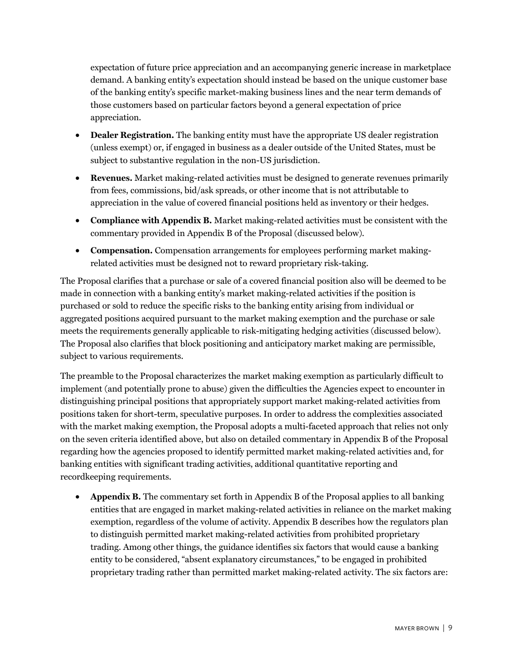expectation of future price appreciation and an accompanying generic increase in marketplace demand. A banking entity's expectation should instead be based on the unique customer base of the banking entity's specific market-making business lines and the near term demands of those customers based on particular factors beyond a general expectation of price appreciation.

- **Dealer Registration.** The banking entity must have the appropriate US dealer registration (unless exempt) or, if engaged in business as a dealer outside of the United States, must be subject to substantive regulation in the non-US jurisdiction.
- **Revenues.** Market making-related activities must be designed to generate revenues primarily from fees, commissions, bid/ask spreads, or other income that is not attributable to appreciation in the value of covered financial positions held as inventory or their hedges.
- **Compliance with Appendix B.** Market making-related activities must be consistent with the commentary provided in Appendix B of the Proposal (discussed below).
- **Compensation.** Compensation arrangements for employees performing market makingrelated activities must be designed not to reward proprietary risk-taking.

The Proposal clarifies that a purchase or sale of a covered financial position also will be deemed to be made in connection with a banking entity's market making-related activities if the position is purchased or sold to reduce the specific risks to the banking entity arising from individual or aggregated positions acquired pursuant to the market making exemption and the purchase or sale meets the requirements generally applicable to risk-mitigating hedging activities (discussed below). The Proposal also clarifies that block positioning and anticipatory market making are permissible, subject to various requirements.

The preamble to the Proposal characterizes the market making exemption as particularly difficult to implement (and potentially prone to abuse) given the difficulties the Agencies expect to encounter in distinguishing principal positions that appropriately support market making-related activities from positions taken for short-term, speculative purposes. In order to address the complexities associated with the market making exemption, the Proposal adopts a multi-faceted approach that relies not only on the seven criteria identified above, but also on detailed commentary in Appendix B of the Proposal regarding how the agencies proposed to identify permitted market making-related activities and, for banking entities with significant trading activities, additional quantitative reporting and recordkeeping requirements.

 **Appendix B.** The commentary set forth in Appendix B of the Proposal applies to all banking entities that are engaged in market making-related activities in reliance on the market making exemption, regardless of the volume of activity. Appendix B describes how the regulators plan to distinguish permitted market making-related activities from prohibited proprietary trading. Among other things, the guidance identifies six factors that would cause a banking entity to be considered, "absent explanatory circumstances," to be engaged in prohibited proprietary trading rather than permitted market making-related activity. The six factors are: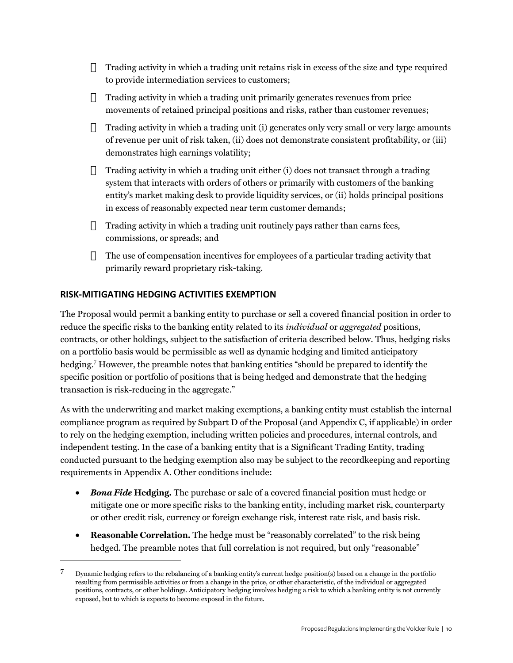Trading activity in which a trading unit retains risk in excess of the size and type required to provide intermediation services to customers;

Trading activity in which a trading unit primarily generates revenues from price movements of retained principal positions and risks, rather than customer revenues;

Trading activity in which a trading unit (i) generates only very small or very large amounts of revenue per unit of risk taken, (ii) does not demonstrate consistent profitability, or (iii) demonstrates high earnings volatility;

Trading activity in which a trading unit either (i) does not transact through a trading system that interacts with orders of others or primarily with customers of the banking entity's market making desk to provide liquidity services, or (ii) holds principal positions in excess of reasonably expected near term customer demands;

Trading activity in which a trading unit routinely pays rather than earns fees, commissions, or spreads; and

The use of compensation incentives for employees of a particular trading activity that primarily reward proprietary risk-taking.

#### **RISK-MITIGATING HEDGING ACTIVITIES EXEMPTION**

The Proposal would permit a banking entity to purchase or sell a covered financial position in order to reduce the specific risks to the banking entity related to its *individual* or *aggregated* positions, contracts, or other holdings, subject to the satisfaction of criteria described below. Thus, hedging risks on a portfolio basis would be permissible as well as dynamic hedging and limited anticipatory hedging.[7](#page-13-0) However, the preamble notes that banking entities "should be prepared to identify the specific position or portfolio of positions that is being hedged and demonstrate that the hedging transaction is risk-reducing in the aggregate."

As with the underwriting and market making exemptions, a banking entity must establish the internal compliance program as required by Subpart D of the Proposal (and Appendix C, if applicable) in order to rely on the hedging exemption, including written policies and procedures, internal controls, and independent testing. In the case of a banking entity that is a Significant Trading Entity, trading conducted pursuant to the hedging exemption also may be subject to the recordkeeping and reporting requirements in Appendix A. Other conditions include:

- *Bona Fide* **Hedging.** The purchase or sale of a covered financial position must hedge or mitigate one or more specific risks to the banking entity, including market risk, counterparty or other credit risk, currency or foreign exchange risk, interest rate risk, and basis risk.
- **Reasonable Correlation.** The hedge must be "reasonably correlated" to the risk being hedged. The preamble notes that full correlation is not required, but only "reasonable"

<span id="page-13-0"></span> $7$  Dynamic hedging refers to the rebalancing of a banking entity's current hedge position(s) based on a change in the portfolio resulting from permissible activities or from a change in the price, or other characteristic, of the individual or aggregated positions, contracts, or other holdings. Anticipatory hedging involves hedging a risk to which a banking entity is not currently exposed, but to which is expects to become exposed in the future.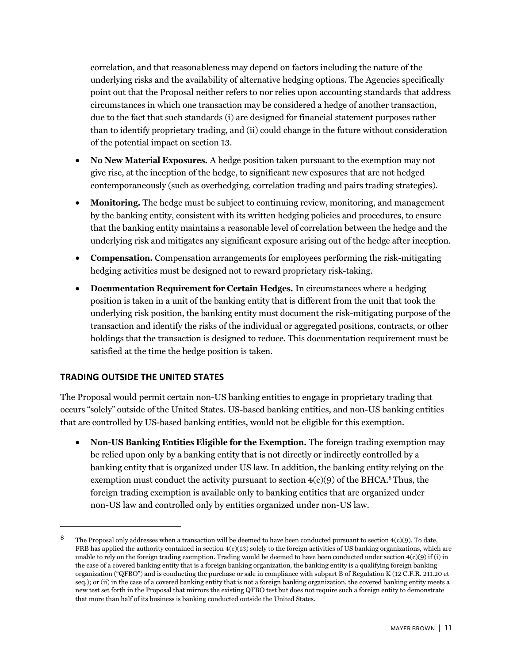correlation, and that reasonableness may depend on factors including the nature of the underlying risks and the availability of alternative hedging options. The Agencies specifically point out that the Proposal neither refers to nor relies upon accounting standards that address circumstances in which one transaction may be considered a hedge of another transaction, due to the fact that such standards (i) are designed for financial statement purposes rather than to identify proprietary trading, and (ii) could change in the future without consideration of the potential impact on section 13.

- **No New Material Exposures.** A hedge position taken pursuant to the exemption may not give rise, at the inception of the hedge, to significant new exposures that are not hedged contemporaneously (such as overhedging, correlation trading and pairs trading strategies).
- **Monitoring.** The hedge must be subject to continuing review, monitoring, and management by the banking entity, consistent with its written hedging policies and procedures, to ensure that the banking entity maintains a reasonable level of correlation between the hedge and the underlying risk and mitigates any significant exposure arising out of the hedge after inception.
- **Compensation.** Compensation arrangements for employees performing the risk-mitigating hedging activities must be designed not to reward proprietary risk-taking.
- **Documentation Requirement for Certain Hedges.** In circumstances where a hedging position is taken in a unit of the banking entity that is different from the unit that took the underlying risk position, the banking entity must document the risk-mitigating purpose of the transaction and identify the risks of the individual or aggregated positions, contracts, or other holdings that the transaction is designed to reduce. This documentation requirement must be satisfied at the time the hedge position is taken.

#### **TRADING OUTSIDE THE UNITED STATES**

The Proposal would permit certain non-US banking entities to engage in proprietary trading that occurs "solely" outside of the United States. US-based banking entities, and non-US banking entities that are controlled by US-based banking entities, would not be eligible for this exemption.

 **Non-US Banking Entities Eligible for the Exemption.** The foreign trading exemption may be relied upon only by a banking entity that is not directly or indirectly controlled by a banking entity that is organized under US law. In addition, the banking entity relying on the exemption must conduct the activity pursuant to section  $4(c)(9)$  of the BHCA.<sup>[8](#page-14-0)</sup>Thus, the foreign trading exemption is available only to banking entities that are organized under non-US law and controlled only by entities organized under non-US law.

<span id="page-14-0"></span><sup>8</sup> The Proposal only addresses when a transaction will be deemed to have been conducted pursuant to section  $4(c)(9)$ . To date, FRB has applied the authority contained in section 4(c)(13) solely to the foreign activities of US banking organizations, which are unable to rely on the foreign trading exemption. Trading would be deemed to have been conducted under section  $4(c)(9)$  if (i) in the case of a covered banking entity that is a foreign banking organization, the banking entity is a qualifying foreign banking organization ("QFBO") and is conducting the purchase or sale in compliance with subpart B of Regulation K (12 C.F.R. 211.20 et seq.); or (ii) in the case of a covered banking entity that is not a foreign banking organization, the covered banking entity meets a new test set forth in the Proposal that mirrors the existing QFBO test but does not require such a foreign entity to demonstrate that more than half of its business is banking conducted outside the United States.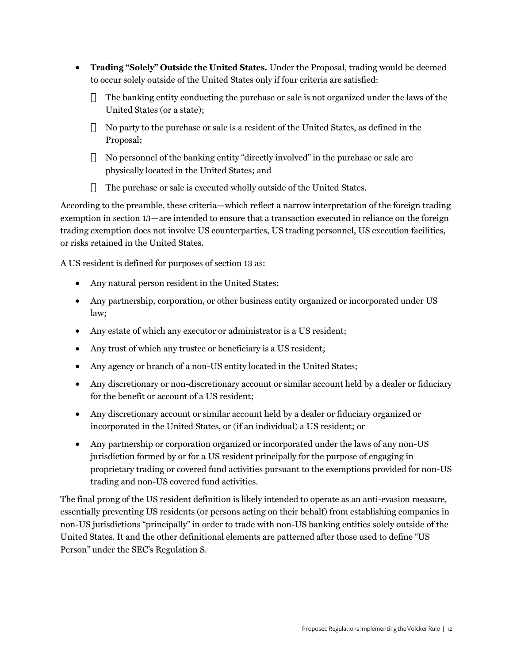- **Trading "Solely" Outside the United States.** Under the Proposal, trading would be deemed to occur solely outside of the United States only if four criteria are satisfied:
	- The banking entity conducting the purchase or sale is not organized under the laws of the United States (or a state);

No party to the purchase or sale is a resident of the United States, as defined in the Proposal;

No personnel of the banking entity "directly involved" in the purchase or sale are physically located in the United States; and

The purchase or sale is executed wholly outside of the United States.

According to the preamble, these criteria—which reflect a narrow interpretation of the foreign trading exemption in section 13—are intended to ensure that a transaction executed in reliance on the foreign trading exemption does not involve US counterparties, US trading personnel, US execution facilities, or risks retained in the United States.

A US resident is defined for purposes of section 13 as:

- Any natural person resident in the United States;
- Any partnership, corporation, or other business entity organized or incorporated under US law;
- Any estate of which any executor or administrator is a US resident;
- Any trust of which any trustee or beneficiary is a US resident;
- Any agency or branch of a non-US entity located in the United States;
- Any discretionary or non-discretionary account or similar account held by a dealer or fiduciary for the benefit or account of a US resident;
- Any discretionary account or similar account held by a dealer or fiduciary organized or incorporated in the United States, or (if an individual) a US resident; or
- Any partnership or corporation organized or incorporated under the laws of any non-US jurisdiction formed by or for a US resident principally for the purpose of engaging in proprietary trading or covered fund activities pursuant to the exemptions provided for non-US trading and non-US covered fund activities.

The final prong of the US resident definition is likely intended to operate as an anti-evasion measure, essentially preventing US residents (or persons acting on their behalf) from establishing companies in non-US jurisdictions "principally" in order to trade with non-US banking entities solely outside of the United States. It and the other definitional elements are patterned after those used to define "US Person" under the SEC's Regulation S.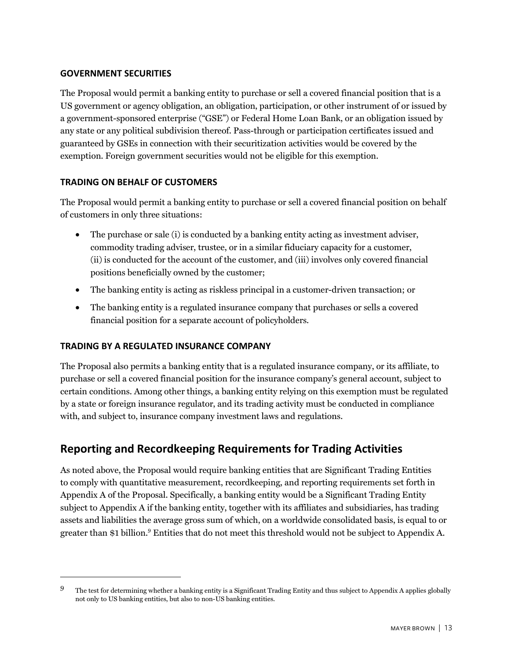#### **GOVERNMENT SECURITIES**

The Proposal would permit a banking entity to purchase or sell a covered financial position that is a US government or agency obligation, an obligation, participation, or other instrument of or issued by a government-sponsored enterprise ("GSE") or Federal Home Loan Bank, or an obligation issued by any state or any political subdivision thereof. Pass-through or participation certificates issued and guaranteed by GSEs in connection with their securitization activities would be covered by the exemption. Foreign government securities would not be eligible for this exemption.

#### **TRADING ON BEHALF OF CUSTOMERS**

The Proposal would permit a banking entity to purchase or sell a covered financial position on behalf of customers in only three situations:

- The purchase or sale (i) is conducted by a banking entity acting as investment adviser, commodity trading adviser, trustee, or in a similar fiduciary capacity for a customer, (ii) is conducted for the account of the customer, and (iii) involves only covered financial positions beneficially owned by the customer;
- The banking entity is acting as riskless principal in a customer-driven transaction; or
- The banking entity is a regulated insurance company that purchases or sells a covered financial position for a separate account of policyholders.

#### **TRADING BY A REGULATED INSURANCE COMPANY**

The Proposal also permits a banking entity that is a regulated insurance company, or its affiliate, to purchase or sell a covered financial position for the insurance company's general account, subject to certain conditions. Among other things, a banking entity relying on this exemption must be regulated by a state or foreign insurance regulator, and its trading activity must be conducted in compliance with, and subject to, insurance company investment laws and regulations.

## <span id="page-16-0"></span>**Reporting and Recordkeeping Requirements for Trading Activities**

As noted above, the Proposal would require banking entities that are Significant Trading Entities to comply with quantitative measurement, recordkeeping, and reporting requirements set forth in Appendix A of the Proposal. Specifically, a banking entity would be a Significant Trading Entity subject to Appendix A if the banking entity, together with its affiliates and subsidiaries, has trading assets and liabilities the average gross sum of which, on a worldwide consolidated basis, is equal to or greater than \$1 billion.<sup>[9](#page-16-1)</sup> Entities that do not meet this threshold would not be subject to Appendix A.

<span id="page-16-1"></span><sup>&</sup>lt;sup>9</sup> The test for determining whether a banking entity is a Significant Trading Entity and thus subject to Appendix A applies globally not only to US banking entities, but also to non-US banking entities.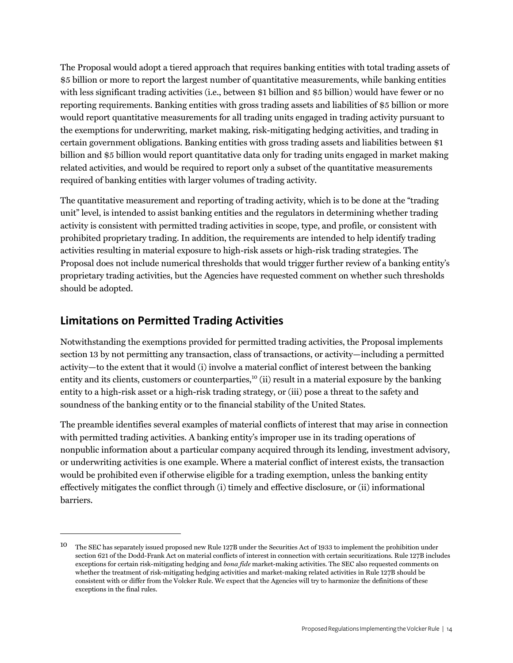The Proposal would adopt a tiered approach that requires banking entities with total trading assets of \$5 billion or more to report the largest number of quantitative measurements, while banking entities with less significant trading activities (i.e., between \$1 billion and \$5 billion) would have fewer or no reporting requirements. Banking entities with gross trading assets and liabilities of \$5 billion or more would report quantitative measurements for all trading units engaged in trading activity pursuant to the exemptions for underwriting, market making, risk-mitigating hedging activities, and trading in certain government obligations. Banking entities with gross trading assets and liabilities between \$1 billion and \$5 billion would report quantitative data only for trading units engaged in market making related activities, and would be required to report only a subset of the quantitative measurements required of banking entities with larger volumes of trading activity.

The quantitative measurement and reporting of trading activity, which is to be done at the "trading unit" level, is intended to assist banking entities and the regulators in determining whether trading activity is consistent with permitted trading activities in scope, type, and profile, or consistent with prohibited proprietary trading. In addition, the requirements are intended to help identify trading activities resulting in material exposure to high-risk assets or high-risk trading strategies. The Proposal does not include numerical thresholds that would trigger further review of a banking entity's proprietary trading activities, but the Agencies have requested comment on whether such thresholds should be adopted.

## <span id="page-17-0"></span>**Limitations on Permitted Trading Activities**

Notwithstanding the exemptions provided for permitted trading activities, the Proposal implements section 13 by not permitting any transaction, class of transactions, or activity—including a permitted activity—to the extent that it would (i) involve a material conflict of interest between the banking entity and its clients, customers or counterparties,<sup>[10](#page-17-1)</sup> (ii) result in a material exposure by the banking entity to a high-risk asset or a high-risk trading strategy, or (iii) pose a threat to the safety and soundness of the banking entity or to the financial stability of the United States.

The preamble identifies several examples of material conflicts of interest that may arise in connection with permitted trading activities. A banking entity's improper use in its trading operations of nonpublic information about a particular company acquired through its lending, investment advisory, or underwriting activities is one example. Where a material conflict of interest exists, the transaction would be prohibited even if otherwise eligible for a trading exemption, unless the banking entity effectively mitigates the conflict through (i) timely and effective disclosure, or (ii) informational barriers.

<span id="page-17-1"></span><sup>10</sup> The SEC has separately issued proposed new Rule 127B under the Securities Act of 1933 to implement the prohibition under section 621 of the Dodd-Frank Act on material conflicts of interest in connection with certain securitizations. Rule 127B includes exceptions for certain risk-mitigating hedging and *bona fide* market-making activities. The SEC also requested comments on whether the treatment of risk-mitigating hedging activities and market-making related activities in Rule 127B should be consistent with or differ from the Volcker Rule. We expect that the Agencies will try to harmonize the definitions of these exceptions in the final rules.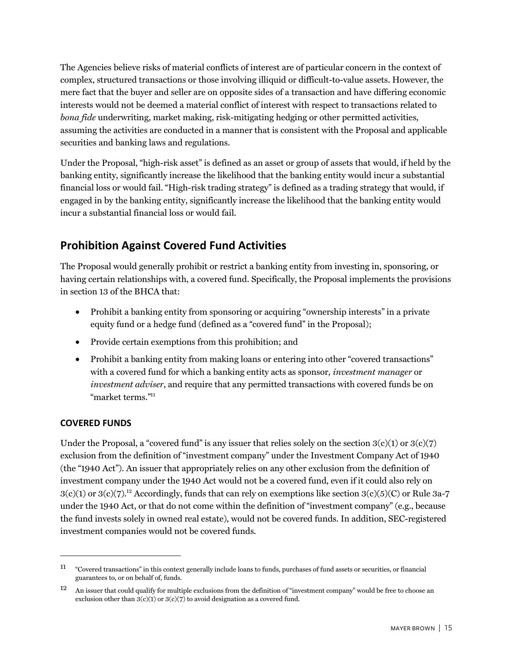The Agencies believe risks of material conflicts of interest are of particular concern in the context of complex, structured transactions or those involving illiquid or difficult-to-value assets. However, the mere fact that the buyer and seller are on opposite sides of a transaction and have differing economic interests would not be deemed a material conflict of interest with respect to transactions related to *bona fide* underwriting, market making, risk-mitigating hedging or other permitted activities, assuming the activities are conducted in a manner that is consistent with the Proposal and applicable securities and banking laws and regulations.

Under the Proposal, "high-risk asset" is defined as an asset or group of assets that would, if held by the banking entity, significantly increase the likelihood that the banking entity would incur a substantial financial loss or would fail. "High-risk trading strategy" is defined as a trading strategy that would, if engaged in by the banking entity, significantly increase the likelihood that the banking entity would incur a substantial financial loss or would fail.

## <span id="page-18-0"></span>**Prohibition Against Covered Fund Activities**

The Proposal would generally prohibit or restrict a banking entity from investing in, sponsoring, or having certain relationships with, a covered fund. Specifically, the Proposal implements the provisions in section 13 of the BHCA that:

- Prohibit a banking entity from sponsoring or acquiring "ownership interests" in a private equity fund or a hedge fund (defined as a "covered fund" in the Proposal);
- Provide certain exemptions from this prohibition; and
- Prohibit a banking entity from making loans or entering into other "covered transactions" with a covered fund for which a banking entity acts as sponsor, *investment manager* or *investment adviser*, and require that any permitted transactions with covered funds be on "market terms."[11](#page-18-1)

#### **COVERED FUNDS**

Under the Proposal, a "covered fund" is any issuer that relies solely on the section  $3(c)(1)$  or  $3(c)(7)$ exclusion from the definition of "investment company" under the Investment Company Act of 1940 (the "1940 Act"). An issuer that appropriately relies on any other exclusion from the definition of investment company under the 1940 Act would not be a covered fund, even if it could also rely on  $3(c)(1)$  or  $3(c)(7)$ .<sup>[12](#page-18-2)</sup> Accordingly, funds that can rely on exemptions like section  $3(c)(5)(C)$  or Rule 3a-7 under the 1940 Act, or that do not come within the definition of "investment company" (e.g., because the fund invests solely in owned real estate), would not be covered funds. In addition, SEC-registered investment companies would not be covered funds.

<span id="page-18-1"></span><sup>11</sup> "Covered transactions" in this context generally include loans to funds, purchases of fund assets or securities, or financial guarantees to, or on behalf of, funds.

<span id="page-18-2"></span><sup>12</sup> An issuer that could qualify for multiple exclusions from the definition of "investment company" would be free to choose an exclusion other than  $3(c)(1)$  or  $3(c)(7)$  to avoid designation as a covered fund.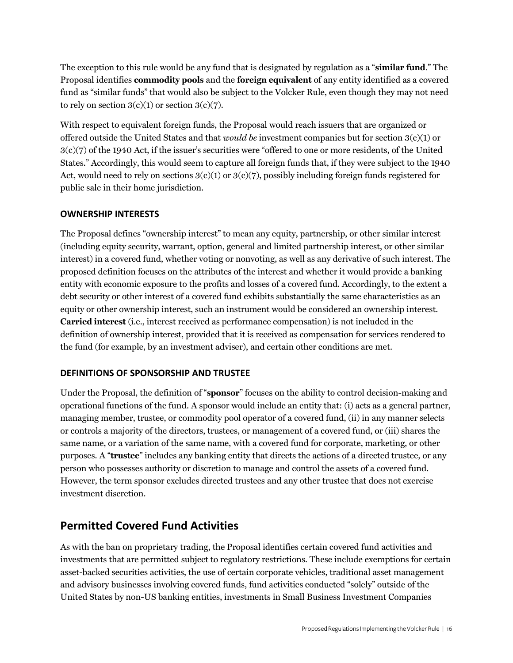The exception to this rule would be any fund that is designated by regulation as a "**similar fund**." The Proposal identifies **commodity pools** and the **foreign equivalent** of any entity identified as a covered fund as "similar funds" that would also be subject to the Volcker Rule, even though they may not need to rely on section  $3(c)(1)$  or section  $3(c)(7)$ .

With respect to equivalent foreign funds, the Proposal would reach issuers that are organized or offered outside the United States and that *would be* investment companies but for section 3(c)(1) or 3(c)(7) of the 1940 Act, if the issuer's securities were "offered to one or more residents, of the United States." Accordingly, this would seem to capture all foreign funds that, if they were subject to the 1940 Act, would need to rely on sections  $3(c)(1)$  or  $3(c)(7)$ , possibly including foreign funds registered for public sale in their home jurisdiction.

#### **OWNERSHIP INTERESTS**

The Proposal defines "ownership interest" to mean any equity, partnership, or other similar interest (including equity security, warrant, option, general and limited partnership interest, or other similar interest) in a covered fund, whether voting or nonvoting, as well as any derivative of such interest. The proposed definition focuses on the attributes of the interest and whether it would provide a banking entity with economic exposure to the profits and losses of a covered fund. Accordingly, to the extent a debt security or other interest of a covered fund exhibits substantially the same characteristics as an equity or other ownership interest, such an instrument would be considered an ownership interest. **Carried interest** (i.e., interest received as performance compensation) is not included in the definition of ownership interest, provided that it is received as compensation for services rendered to the fund (for example, by an investment adviser), and certain other conditions are met.

#### **DEFINITIONS OF SPONSORSHIP AND TRUSTEE**

Under the Proposal, the definition of "**sponsor**" focuses on the ability to control decision-making and operational functions of the fund. A sponsor would include an entity that: (i) acts as a general partner, managing member, trustee, or commodity pool operator of a covered fund, (ii) in any manner selects or controls a majority of the directors, trustees, or management of a covered fund, or (iii) shares the same name, or a variation of the same name, with a covered fund for corporate, marketing, or other purposes. A "**trustee**" includes any banking entity that directs the actions of a directed trustee, or any person who possesses authority or discretion to manage and control the assets of a covered fund. However, the term sponsor excludes directed trustees and any other trustee that does not exercise investment discretion.

## <span id="page-19-0"></span>**Permitted Covered Fund Activities**

As with the ban on proprietary trading, the Proposal identifies certain covered fund activities and investments that are permitted subject to regulatory restrictions. These include exemptions for certain asset-backed securities activities, the use of certain corporate vehicles, traditional asset management and advisory businesses involving covered funds, fund activities conducted "solely" outside of the United States by non-US banking entities, investments in Small Business Investment Companies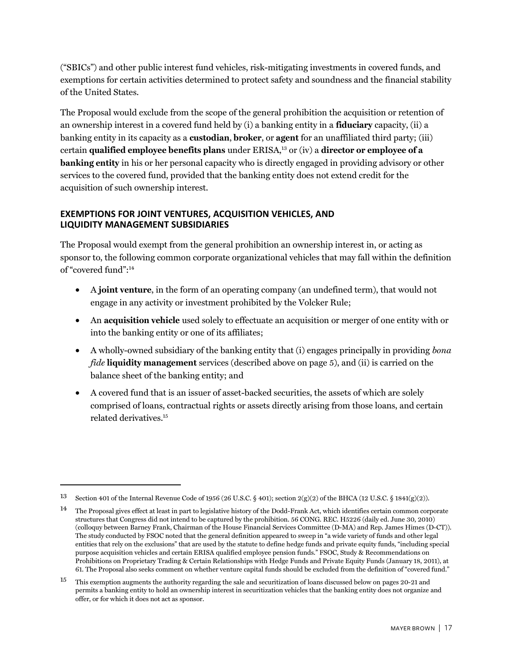("SBICs") and other public interest fund vehicles, risk-mitigating investments in covered funds, and exemptions for certain activities determined to protect safety and soundness and the financial stability of the United States.

The Proposal would exclude from the scope of the general prohibition the acquisition or retention of an ownership interest in a covered fund held by (i) a banking entity in a **fiduciary** capacity, (ii) a banking entity in its capacity as a **custodian**, **broker**, or **agent** for an unaffiliated third party; (iii) certain **qualified employee benefits plans** under ERISA,[13](#page-20-0) or (iv) a **director or employee of a banking entity** in his or her personal capacity who is directly engaged in providing advisory or other services to the covered fund, provided that the banking entity does not extend credit for the acquisition of such ownership interest.

#### **EXEMPTIONS FOR JOINT VENTURES, ACQUISITION VEHICLES, AND LIQUIDITY MANAGEMENT SUBSIDIARIES**

The Proposal would exempt from the general prohibition an ownership interest in, or acting as sponsor to, the following common corporate organizational vehicles that may fall within the definition of "covered fund":[14](#page-20-1)

- A **joint venture**, in the form of an operating company (an undefined term), that would not engage in any activity or investment prohibited by the Volcker Rule;
- An **acquisition vehicle** used solely to effectuate an acquisition or merger of one entity with or into the banking entity or one of its affiliates;
- A wholly-owned subsidiary of the banking entity that (i) engages principally in providing *bona fide* **liquidity management** services (described above on page 5), and (ii) is carried on the balance sheet of the banking entity; and
- A covered fund that is an issuer of asset-backed securities, the assets of which are solely comprised of loans, contractual rights or assets directly arising from those loans, and certain related derivatives.[15](#page-20-2)

<span id="page-20-0"></span><sup>13</sup> Section 401 of the Internal Revenue Code of 1956 (26 U.S.C. § 401); section 2(g)(2) of the BHCA (12 U.S.C. § 1841(g)(2)).

<span id="page-20-1"></span><sup>14</sup> The Proposal gives effect at least in part to legislative history of the Dodd-Frank Act, which identifies certain common corporate structures that Congress did not intend to be captured by the prohibition. 56 CONG. REC. H5226 (daily ed. June 30, 2010) (colloquy between Barney Frank, Chairman of the House Financial Services Committee (D-MA) and Rep. James Himes (D-CT)). The study conducted by FSOC noted that the general definition appeared to sweep in "a wide variety of funds and other legal entities that rely on the exclusions" that are used by the statute to define hedge funds and private equity funds, "including special purpose acquisition vehicles and certain ERISA qualified employee pension funds." FSOC, Study & Recommendations on Prohibitions on Proprietary Trading & Certain Relationships with Hedge Funds and Private Equity Funds (January 18, 2011), at 61. The Proposal also seeks comment on whether venture capital funds should be excluded from the definition of "covered fund."

<span id="page-20-2"></span><sup>15</sup> This exemption augments the authority regarding the sale and securitization of loans discussed below on pages 20-21 and permits a banking entity to hold an ownership interest in securitization vehicles that the banking entity does not organize and offer, or for which it does not act as sponsor.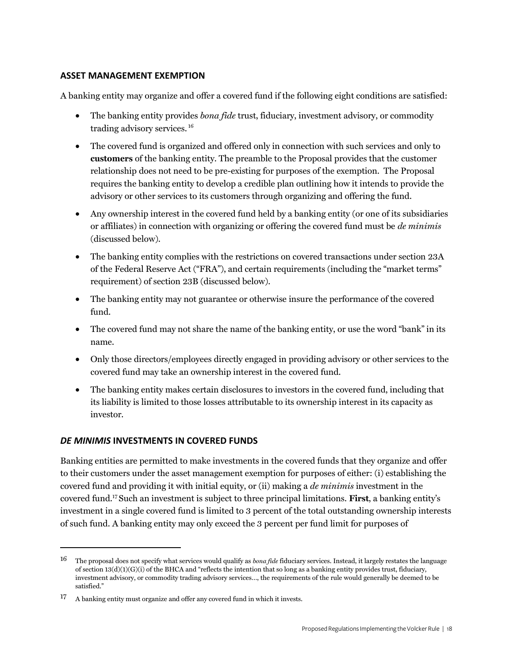#### **ASSET MANAGEMENT EXEMPTION**

A banking entity may organize and offer a covered fund if the following eight conditions are satisfied:

- The banking entity provides *bona fide* trust, fiduciary, investment advisory, or commodity trading advisory services. [16](#page-21-0)
- The covered fund is organized and offered only in connection with such services and only to **customers** of the banking entity. The preamble to the Proposal provides that the customer relationship does not need to be pre-existing for purposes of the exemption. The Proposal requires the banking entity to develop a credible plan outlining how it intends to provide the advisory or other services to its customers through organizing and offering the fund.
- Any ownership interest in the covered fund held by a banking entity (or one of its subsidiaries or affiliates) in connection with organizing or offering the covered fund must be *de minimis* (discussed below).
- The banking entity complies with the restrictions on covered transactions under section 23A of the Federal Reserve Act ("FRA"), and certain requirements (including the "market terms" requirement) of section 23B (discussed below).
- The banking entity may not guarantee or otherwise insure the performance of the covered fund.
- The covered fund may not share the name of the banking entity, or use the word "bank" in its name.
- Only those directors/employees directly engaged in providing advisory or other services to the covered fund may take an ownership interest in the covered fund.
- The banking entity makes certain disclosures to investors in the covered fund, including that its liability is limited to those losses attributable to its ownership interest in its capacity as investor.

#### *DE MINIMIS* **INVESTMENTS IN COVERED FUNDS**

Banking entities are permitted to make investments in the covered funds that they organize and offer to their customers under the asset management exemption for purposes of either: (i) establishing the covered fund and providing it with initial equity, or (ii) making a *de minimis* investment in the covered fund.[17](#page-21-1) Such an investment is subject to three principal limitations. **First**, a banking entity's investment in a single covered fund is limited to 3 percent of the total outstanding ownership interests of such fund. A banking entity may only exceed the 3 percent per fund limit for purposes of

<span id="page-21-0"></span><sup>16</sup> The proposal does not specify what services would qualify as *bona fide* fiduciary services. Instead, it largely restates the language of section  $13(d)(1)(G)(i)$  of the BHCA and "reflects the intention that so long as a banking entity provides trust, fiduciary, investment advisory, or commodity trading advisory services…, the requirements of the rule would generally be deemed to be satisfied."

<span id="page-21-1"></span><sup>17</sup> A banking entity must organize and offer any covered fund in which it invests.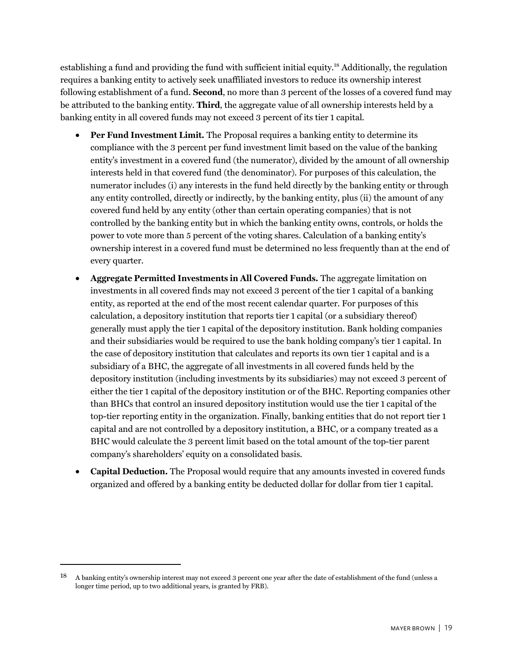establishing a fund and providing the fund with sufficient initial equity.[18](#page-22-0) Additionally, the regulation requires a banking entity to actively seek unaffiliated investors to reduce its ownership interest following establishment of a fund. **Second**, no more than 3 percent of the losses of a covered fund may be attributed to the banking entity. **Third**, the aggregate value of all ownership interests held by a banking entity in all covered funds may not exceed 3 percent of its tier 1 capital.

- **Per Fund Investment Limit.** The Proposal requires a banking entity to determine its compliance with the 3 percent per fund investment limit based on the value of the banking entity's investment in a covered fund (the numerator), divided by the amount of all ownership interests held in that covered fund (the denominator). For purposes of this calculation, the numerator includes (i) any interests in the fund held directly by the banking entity or through any entity controlled, directly or indirectly, by the banking entity, plus (ii) the amount of any covered fund held by any entity (other than certain operating companies) that is not controlled by the banking entity but in which the banking entity owns, controls, or holds the power to vote more than 5 percent of the voting shares. Calculation of a banking entity's ownership interest in a covered fund must be determined no less frequently than at the end of every quarter.
- **Aggregate Permitted Investments in All Covered Funds.** The aggregate limitation on investments in all covered finds may not exceed 3 percent of the tier 1 capital of a banking entity, as reported at the end of the most recent calendar quarter. For purposes of this calculation, a depository institution that reports tier 1 capital (or a subsidiary thereof) generally must apply the tier 1 capital of the depository institution. Bank holding companies and their subsidiaries would be required to use the bank holding company's tier 1 capital. In the case of depository institution that calculates and reports its own tier 1 capital and is a subsidiary of a BHC, the aggregate of all investments in all covered funds held by the depository institution (including investments by its subsidiaries) may not exceed 3 percent of either the tier 1 capital of the depository institution or of the BHC. Reporting companies other than BHCs that control an insured depository institution would use the tier 1 capital of the top-tier reporting entity in the organization. Finally, banking entities that do not report tier 1 capital and are not controlled by a depository institution, a BHC, or a company treated as a BHC would calculate the 3 percent limit based on the total amount of the top-tier parent company's shareholders' equity on a consolidated basis.
- **Capital Deduction.** The Proposal would require that any amounts invested in covered funds organized and offered by a banking entity be deducted dollar for dollar from tier 1 capital.

<span id="page-22-0"></span><sup>18</sup> A banking entity's ownership interest may not exceed 3 percent one year after the date of establishment of the fund (unless a longer time period, up to two additional years, is granted by FRB).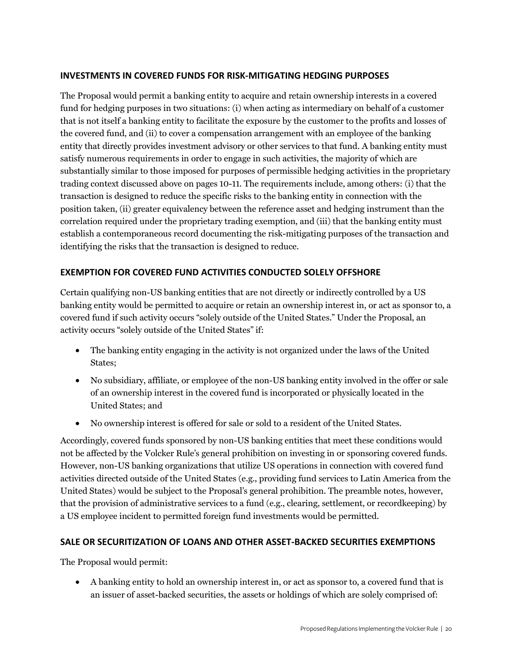#### **INVESTMENTS IN COVERED FUNDS FOR RISK-MITIGATING HEDGING PURPOSES**

The Proposal would permit a banking entity to acquire and retain ownership interests in a covered fund for hedging purposes in two situations: (i) when acting as intermediary on behalf of a customer that is not itself a banking entity to facilitate the exposure by the customer to the profits and losses of the covered fund, and (ii) to cover a compensation arrangement with an employee of the banking entity that directly provides investment advisory or other services to that fund. A banking entity must satisfy numerous requirements in order to engage in such activities, the majority of which are substantially similar to those imposed for purposes of permissible hedging activities in the proprietary trading context discussed above on pages 10-11. The requirements include, among others: (i) that the transaction is designed to reduce the specific risks to the banking entity in connection with the position taken, (ii) greater equivalency between the reference asset and hedging instrument than the correlation required under the proprietary trading exemption, and (iii) that the banking entity must establish a contemporaneous record documenting the risk-mitigating purposes of the transaction and identifying the risks that the transaction is designed to reduce.

#### **EXEMPTION FOR COVERED FUND ACTIVITIES CONDUCTED SOLELY OFFSHORE**

Certain qualifying non-US banking entities that are not directly or indirectly controlled by a US banking entity would be permitted to acquire or retain an ownership interest in, or act as sponsor to, a covered fund if such activity occurs "solely outside of the United States." Under the Proposal, an activity occurs "solely outside of the United States" if:

- The banking entity engaging in the activity is not organized under the laws of the United States;
- No subsidiary, affiliate, or employee of the non-US banking entity involved in the offer or sale of an ownership interest in the covered fund is incorporated or physically located in the United States; and
- No ownership interest is offered for sale or sold to a resident of the United States.

Accordingly, covered funds sponsored by non-US banking entities that meet these conditions would not be affected by the Volcker Rule's general prohibition on investing in or sponsoring covered funds. However, non-US banking organizations that utilize US operations in connection with covered fund activities directed outside of the United States (e.g., providing fund services to Latin America from the United States) would be subject to the Proposal's general prohibition. The preamble notes, however, that the provision of administrative services to a fund (e.g., clearing, settlement, or recordkeeping) by a US employee incident to permitted foreign fund investments would be permitted.

## **SALE OR SECURITIZATION OF LOANS AND OTHER ASSET-BACKED SECURITIES EXEMPTIONS**

The Proposal would permit:

 A banking entity to hold an ownership interest in, or act as sponsor to, a covered fund that is an issuer of asset-backed securities, the assets or holdings of which are solely comprised of: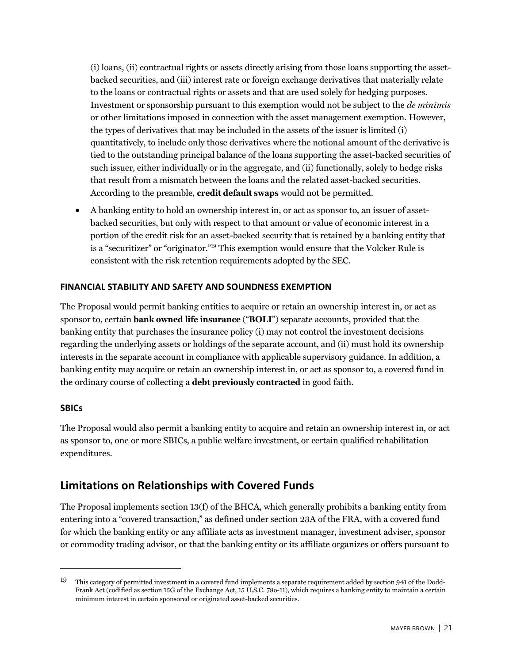(i) loans, (ii) contractual rights or assets directly arising from those loans supporting the assetbacked securities, and (iii) interest rate or foreign exchange derivatives that materially relate to the loans or contractual rights or assets and that are used solely for hedging purposes. Investment or sponsorship pursuant to this exemption would not be subject to the *de minimis* or other limitations imposed in connection with the asset management exemption. However, the types of derivatives that may be included in the assets of the issuer is limited (i) quantitatively, to include only those derivatives where the notional amount of the derivative is tied to the outstanding principal balance of the loans supporting the asset-backed securities of such issuer, either individually or in the aggregate, and (ii) functionally, solely to hedge risks that result from a mismatch between the loans and the related asset-backed securities. According to the preamble, **credit default swaps** would not be permitted.

 A banking entity to hold an ownership interest in, or act as sponsor to, an issuer of assetbacked securities, but only with respect to that amount or value of economic interest in a portion of the credit risk for an asset-backed security that is retained by a banking entity that is a "securitizer" or "originator."[19](#page-24-1) This exemption would ensure that the Volcker Rule is consistent with the risk retention requirements adopted by the SEC.

#### **FINANCIAL STABILITY AND SAFETY AND SOUNDNESS EXEMPTION**

The Proposal would permit banking entities to acquire or retain an ownership interest in, or act as sponsor to, certain **bank owned life insurance** ("**BOLI**") separate accounts, provided that the banking entity that purchases the insurance policy (i) may not control the investment decisions regarding the underlying assets or holdings of the separate account, and (ii) must hold its ownership interests in the separate account in compliance with applicable supervisory guidance. In addition, a banking entity may acquire or retain an ownership interest in, or act as sponsor to, a covered fund in the ordinary course of collecting a **debt previously contracted** in good faith.

#### **SBICs**

The Proposal would also permit a banking entity to acquire and retain an ownership interest in, or act as sponsor to, one or more SBICs, a public welfare investment, or certain qualified rehabilitation expenditures.

## <span id="page-24-0"></span>**Limitations on Relationships with Covered Funds**

The Proposal implements section 13(f) of the BHCA, which generally prohibits a banking entity from entering into a "covered transaction," as defined under section 23A of the FRA, with a covered fund for which the banking entity or any affiliate acts as investment manager, investment adviser, sponsor or commodity trading advisor, or that the banking entity or its affiliate organizes or offers pursuant to

<span id="page-24-1"></span><sup>19</sup> This category of permitted investment in a covered fund implements a separate requirement added by section 941 of the Dodd-Frank Act (codified as section 15G of the Exchange Act, 15 U.S.C. 78o-11), which requires a banking entity to maintain a certain minimum interest in certain sponsored or originated asset-backed securities.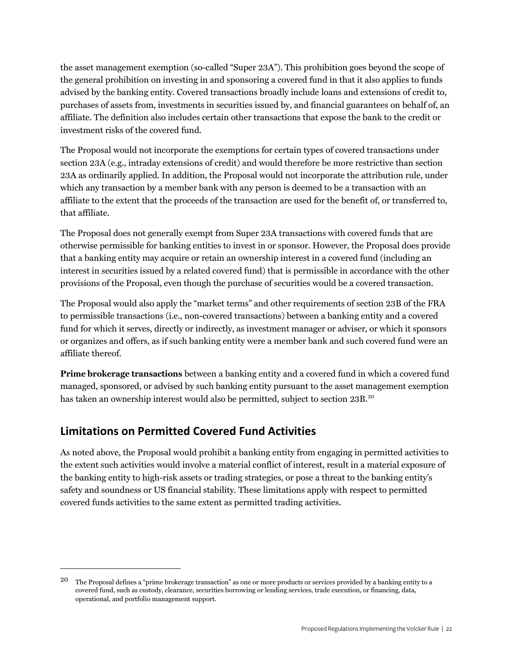the asset management exemption (so-called "Super 23A"). This prohibition goes beyond the scope of the general prohibition on investing in and sponsoring a covered fund in that it also applies to funds advised by the banking entity. Covered transactions broadly include loans and extensions of credit to, purchases of assets from, investments in securities issued by, and financial guarantees on behalf of, an affiliate. The definition also includes certain other transactions that expose the bank to the credit or investment risks of the covered fund.

The Proposal would not incorporate the exemptions for certain types of covered transactions under section 23A (e.g., intraday extensions of credit) and would therefore be more restrictive than section 23A as ordinarily applied. In addition, the Proposal would not incorporate the attribution rule, under which any transaction by a member bank with any person is deemed to be a transaction with an affiliate to the extent that the proceeds of the transaction are used for the benefit of, or transferred to, that affiliate.

The Proposal does not generally exempt from Super 23A transactions with covered funds that are otherwise permissible for banking entities to invest in or sponsor. However, the Proposal does provide that a banking entity may acquire or retain an ownership interest in a covered fund (including an interest in securities issued by a related covered fund) that is permissible in accordance with the other provisions of the Proposal, even though the purchase of securities would be a covered transaction.

The Proposal would also apply the "market terms" and other requirements of section 23B of the FRA to permissible transactions (i.e., non-covered transactions) between a banking entity and a covered fund for which it serves, directly or indirectly, as investment manager or adviser, or which it sponsors or organizes and offers, as if such banking entity were a member bank and such covered fund were an affiliate thereof.

**Prime brokerage transactions** between a banking entity and a covered fund in which a covered fund managed, sponsored, or advised by such banking entity pursuant to the asset management exemption has taken an ownership interest would also be permitted, subject to section 23B.<sup>[20](#page-25-1)</sup>

## <span id="page-25-0"></span>**Limitations on Permitted Covered Fund Activities**

As noted above, the Proposal would prohibit a banking entity from engaging in permitted activities to the extent such activities would involve a material conflict of interest, result in a material exposure of the banking entity to high-risk assets or trading strategies, or pose a threat to the banking entity's safety and soundness or US financial stability. These limitations apply with respect to permitted covered funds activities to the same extent as permitted trading activities.

<span id="page-25-1"></span> $20$  The Proposal defines a "prime brokerage transaction" as one or more products or services provided by a banking entity to a covered fund, such as custody, clearance, securities borrowing or lending services, trade execution, or financing, data, operational, and portfolio management support.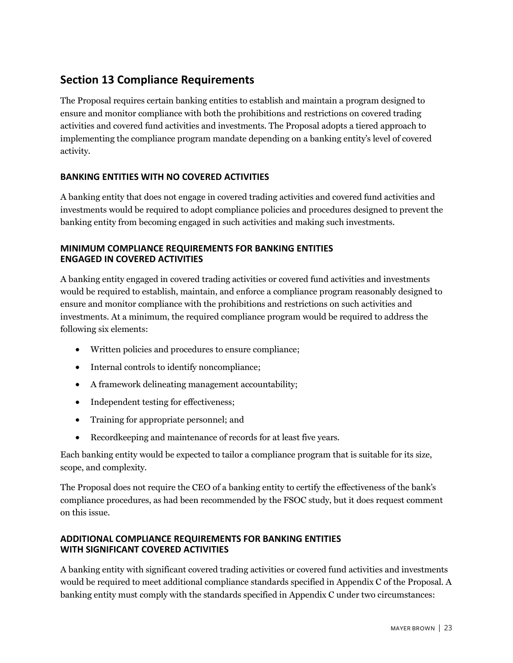## <span id="page-26-0"></span>**Section 13 Compliance Requirements**

The Proposal requires certain banking entities to establish and maintain a program designed to ensure and monitor compliance with both the prohibitions and restrictions on covered trading activities and covered fund activities and investments. The Proposal adopts a tiered approach to implementing the compliance program mandate depending on a banking entity's level of covered activity.

## **BANKING ENTITIES WITH NO COVERED ACTIVITIES**

A banking entity that does not engage in covered trading activities and covered fund activities and investments would be required to adopt compliance policies and procedures designed to prevent the banking entity from becoming engaged in such activities and making such investments.

#### **MINIMUM COMPLIANCE REQUIREMENTS FOR BANKING ENTITIES ENGAGED IN COVERED ACTIVITIES**

A banking entity engaged in covered trading activities or covered fund activities and investments would be required to establish, maintain, and enforce a compliance program reasonably designed to ensure and monitor compliance with the prohibitions and restrictions on such activities and investments. At a minimum, the required compliance program would be required to address the following six elements:

- Written policies and procedures to ensure compliance;
- Internal controls to identify noncompliance;
- A framework delineating management accountability;
- Independent testing for effectiveness;
- Training for appropriate personnel; and
- Recordkeeping and maintenance of records for at least five years.

Each banking entity would be expected to tailor a compliance program that is suitable for its size, scope, and complexity.

The Proposal does not require the CEO of a banking entity to certify the effectiveness of the bank's compliance procedures, as had been recommended by the FSOC study, but it does request comment on this issue.

## **ADDITIONAL COMPLIANCE REQUIREMENTS FOR BANKING ENTITIES WITH SIGNIFICANT COVERED ACTIVITIES**

A banking entity with significant covered trading activities or covered fund activities and investments would be required to meet additional compliance standards specified in Appendix C of the Proposal. A banking entity must comply with the standards specified in Appendix C under two circumstances: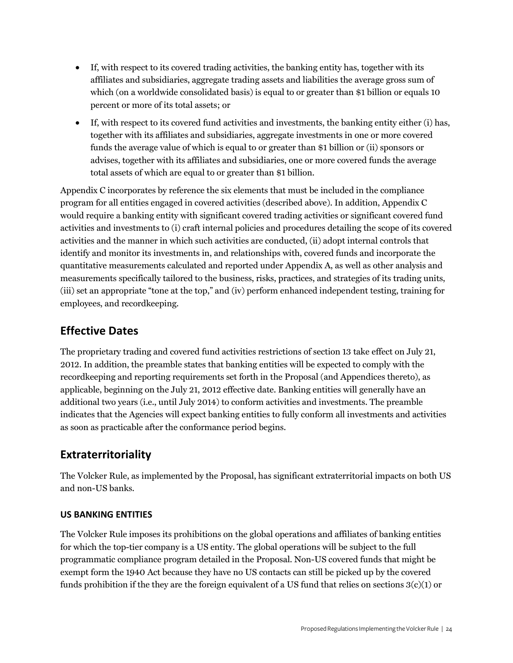- If, with respect to its covered trading activities, the banking entity has, together with its affiliates and subsidiaries, aggregate trading assets and liabilities the average gross sum of which (on a worldwide consolidated basis) is equal to or greater than \$1 billion or equals 10 percent or more of its total assets; or
- If, with respect to its covered fund activities and investments, the banking entity either (i) has, together with its affiliates and subsidiaries, aggregate investments in one or more covered funds the average value of which is equal to or greater than \$1 billion or (ii) sponsors or advises, together with its affiliates and subsidiaries, one or more covered funds the average total assets of which are equal to or greater than \$1 billion.

Appendix C incorporates by reference the six elements that must be included in the compliance program for all entities engaged in covered activities (described above). In addition, Appendix C would require a banking entity with significant covered trading activities or significant covered fund activities and investments to (i) craft internal policies and procedures detailing the scope of its covered activities and the manner in which such activities are conducted, (ii) adopt internal controls that identify and monitor its investments in, and relationships with, covered funds and incorporate the quantitative measurements calculated and reported under Appendix A, as well as other analysis and measurements specifically tailored to the business, risks, practices, and strategies of its trading units, (iii) set an appropriate "tone at the top," and (iv) perform enhanced independent testing, training for employees, and recordkeeping.

# <span id="page-27-0"></span>**Effective Dates**

The proprietary trading and covered fund activities restrictions of section 13 take effect on July 21, 2012. In addition, the preamble states that banking entities will be expected to comply with the recordkeeping and reporting requirements set forth in the Proposal (and Appendices thereto), as applicable, beginning on the July 21, 2012 effective date. Banking entities will generally have an additional two years (i.e., until July 2014) to conform activities and investments. The preamble indicates that the Agencies will expect banking entities to fully conform all investments and activities as soon as practicable after the conformance period begins.

# <span id="page-27-1"></span>**Extraterritoriality**

The Volcker Rule, as implemented by the Proposal, has significant extraterritorial impacts on both US and non-US banks.

## **US BANKING ENTITIES**

The Volcker Rule imposes its prohibitions on the global operations and affiliates of banking entities for which the top-tier company is a US entity. The global operations will be subject to the full programmatic compliance program detailed in the Proposal. Non-US covered funds that might be exempt form the 1940 Act because they have no US contacts can still be picked up by the covered funds prohibition if the they are the foreign equivalent of a US fund that relies on sections 3(c)(1) or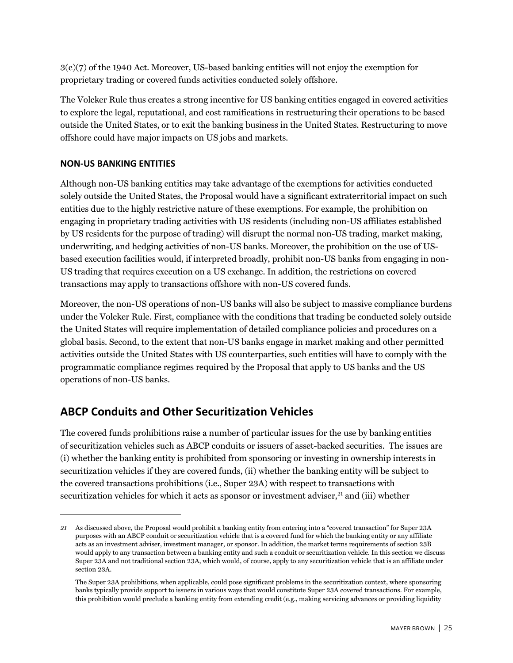3(c)(7) of the 1940 Act. Moreover, US-based banking entities will not enjoy the exemption for proprietary trading or covered funds activities conducted solely offshore.

The Volcker Rule thus creates a strong incentive for US banking entities engaged in covered activities to explore the legal, reputational, and cost ramifications in restructuring their operations to be based outside the United States, or to exit the banking business in the United States. Restructuring to move offshore could have major impacts on US jobs and markets.

#### **NON-US BANKING ENTITIES**

Although non-US banking entities may take advantage of the exemptions for activities conducted solely outside the United States, the Proposal would have a significant extraterritorial impact on such entities due to the highly restrictive nature of these exemptions. For example, the prohibition on engaging in proprietary trading activities with US residents (including non-US affiliates established by US residents for the purpose of trading) will disrupt the normal non-US trading, market making, underwriting, and hedging activities of non-US banks. Moreover, the prohibition on the use of USbased execution facilities would, if interpreted broadly, prohibit non-US banks from engaging in non-US trading that requires execution on a US exchange. In addition, the restrictions on covered transactions may apply to transactions offshore with non-US covered funds.

Moreover, the non-US operations of non-US banks will also be subject to massive compliance burdens under the Volcker Rule. First, compliance with the conditions that trading be conducted solely outside the United States will require implementation of detailed compliance policies and procedures on a global basis. Second, to the extent that non-US banks engage in market making and other permitted activities outside the United States with US counterparties, such entities will have to comply with the programmatic compliance regimes required by the Proposal that apply to US banks and the US operations of non-US banks.

## <span id="page-28-0"></span>**ABCP Conduits and Other Securitization Vehicles**

The covered funds prohibitions raise a number of particular issues for the use by banking entities of securitization vehicles such as ABCP conduits or issuers of asset-backed securities. The issues are (i) whether the banking entity is prohibited from sponsoring or investing in ownership interests in securitization vehicles if they are covered funds, (ii) whether the banking entity will be subject to the covered transactions prohibitions (i.e., Super 23A) with respect to transactions with securitization vehicles for which it acts as sponsor or investment adviser, $21$  and (iii) whether

<span id="page-28-1"></span>*<sup>21</sup>* As discussed above, the Proposal would prohibit a banking entity from entering into a "covered transaction" for Super 23A purposes with an ABCP conduit or securitization vehicle that is a covered fund for which the banking entity or any affiliate acts as an investment adviser, investment manager, or sponsor. In addition, the market terms requirements of section 23B would apply to any transaction between a banking entity and such a conduit or securitization vehicle. In this section we discuss Super 23A and not traditional section 23A, which would, of course, apply to any securitization vehicle that is an affiliate under section 23A.

The Super 23A prohibitions, when applicable, could pose significant problems in the securitization context, where sponsoring banks typically provide support to issuers in various ways that would constitute Super 23A covered transactions. For example, this prohibition would preclude a banking entity from extending credit (e.g., making servicing advances or providing liquidity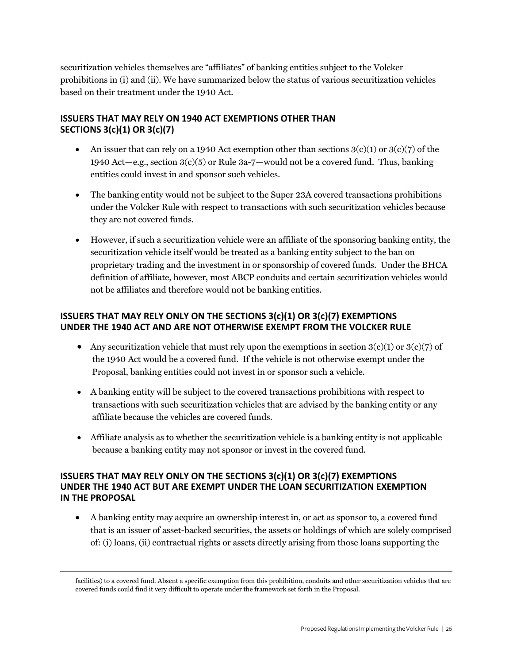securitization vehicles themselves are "affiliates" of banking entities subject to the Volcker prohibitions in (i) and (ii). We have summarized below the status of various securitization vehicles based on their treatment under the 1940 Act.

#### **ISSUERS THAT MAY RELY ON 1940 ACT EXEMPTIONS OTHER THAN SECTIONS 3(c)(1) OR 3(c)(7)**

- An issuer that can rely on a 1940 Act exemption other than sections  $3(c)(1)$  or  $3(c)(7)$  of the 1940 Act—e.g., section  $3(c)(5)$  or Rule  $3a-7$ —would not be a covered fund. Thus, banking entities could invest in and sponsor such vehicles.
- The banking entity would not be subject to the Super 23A covered transactions prohibitions under the Volcker Rule with respect to transactions with such securitization vehicles because they are not covered funds.
- However, if such a securitization vehicle were an affiliate of the sponsoring banking entity, the securitization vehicle itself would be treated as a banking entity subject to the ban on proprietary trading and the investment in or sponsorship of covered funds. Under the BHCA definition of affiliate, however, most ABCP conduits and certain securitization vehicles would not be affiliates and therefore would not be banking entities.

#### **ISSUERS THAT MAY RELY ONLY ON THE SECTIONS 3(c)(1) OR 3(c)(7) EXEMPTIONS UNDER THE 1940 ACT AND ARE NOT OTHERWISE EXEMPT FROM THE VOLCKER RULE**

- Any securitization vehicle that must rely upon the exemptions in section  $3(c)(1)$  or  $3(c)(7)$  of the 1940 Act would be a covered fund. If the vehicle is not otherwise exempt under the Proposal, banking entities could not invest in or sponsor such a vehicle.
- A banking entity will be subject to the covered transactions prohibitions with respect to transactions with such securitization vehicles that are advised by the banking entity or any affiliate because the vehicles are covered funds.
- Affiliate analysis as to whether the securitization vehicle is a banking entity is not applicable because a banking entity may not sponsor or invest in the covered fund.

#### **ISSUERS THAT MAY RELY ONLY ON THE SECTIONS 3(c)(1) OR 3(c)(7) EXEMPTIONS UNDER THE 1940 ACT BUT ARE EXEMPT UNDER THE LOAN SECURITIZATION EXEMPTION IN THE PROPOSAL**

 A banking entity may acquire an ownership interest in, or act as sponsor to, a covered fund that is an issuer of asset-backed securities, the assets or holdings of which are solely comprised of: (i) loans, (ii) contractual rights or assets directly arising from those loans supporting the

facilities) to a covered fund. Absent a specific exemption from this prohibition, conduits and other securitization vehicles that are covered funds could find it very difficult to operate under the framework set forth in the Proposal.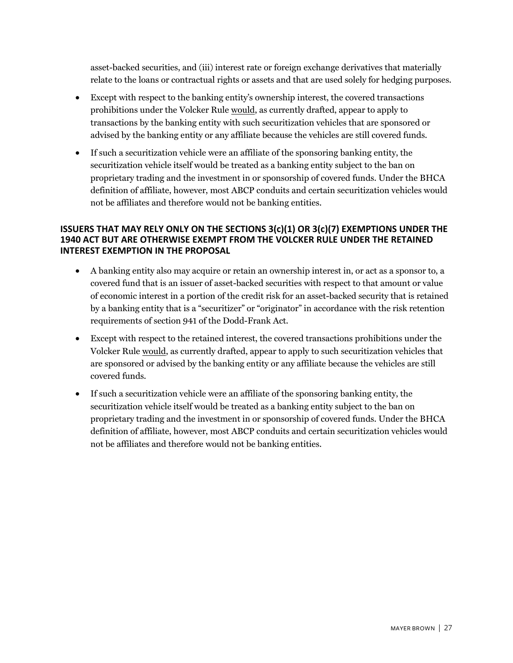asset-backed securities, and (iii) interest rate or foreign exchange derivatives that materially relate to the loans or contractual rights or assets and that are used solely for hedging purposes.

- Except with respect to the banking entity's ownership interest, the covered transactions prohibitions under the Volcker Rule would, as currently drafted, appear to apply to transactions by the banking entity with such securitization vehicles that are sponsored or advised by the banking entity or any affiliate because the vehicles are still covered funds.
- If such a securitization vehicle were an affiliate of the sponsoring banking entity, the securitization vehicle itself would be treated as a banking entity subject to the ban on proprietary trading and the investment in or sponsorship of covered funds. Under the BHCA definition of affiliate, however, most ABCP conduits and certain securitization vehicles would not be affiliates and therefore would not be banking entities.

#### **ISSUERS THAT MAY RELY ONLY ON THE SECTIONS 3(c)(1) OR 3(c)(7) EXEMPTIONS UNDER THE 1940 ACT BUT ARE OTHERWISE EXEMPT FROM THE VOLCKER RULE UNDER THE RETAINED INTEREST EXEMPTION IN THE PROPOSAL**

- A banking entity also may acquire or retain an ownership interest in, or act as a sponsor to, a covered fund that is an issuer of asset-backed securities with respect to that amount or value of economic interest in a portion of the credit risk for an asset-backed security that is retained by a banking entity that is a "securitizer" or "originator" in accordance with the risk retention requirements of section 941 of the Dodd-Frank Act.
- Except with respect to the retained interest, the covered transactions prohibitions under the Volcker Rule would, as currently drafted, appear to apply to such securitization vehicles that are sponsored or advised by the banking entity or any affiliate because the vehicles are still covered funds.
- If such a securitization vehicle were an affiliate of the sponsoring banking entity, the securitization vehicle itself would be treated as a banking entity subject to the ban on proprietary trading and the investment in or sponsorship of covered funds. Under the BHCA definition of affiliate, however, most ABCP conduits and certain securitization vehicles would not be affiliates and therefore would not be banking entities.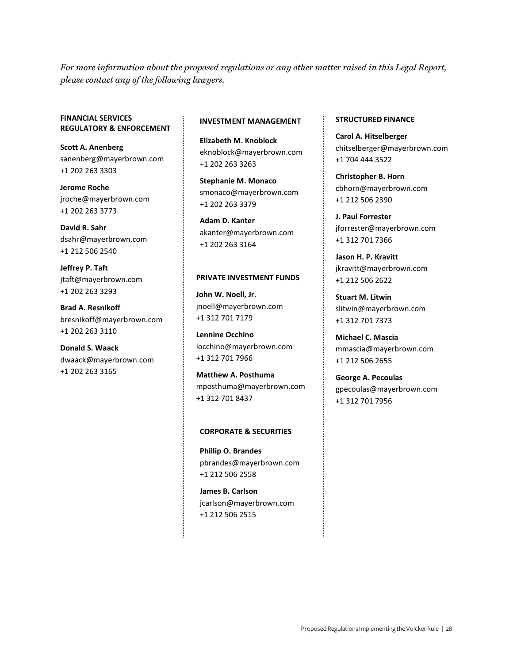*For more information about the proposed regulations or any other matter raised in this Legal Report, please contact any of the following lawyers.*

#### **FINANCIAL SERVICES REGULATORY & ENFORCEMENT**

**Scott A. Anenberg** [sanenberg@mayerbrown.com](mailto:sanenberg@mayerbrown.com) +1 202 263 3303

**Jerome Roche** [jroche@mayerbrown.com](mailto:jroche@mayerbrown.com) +1 202 263 3773

**David R. Sahr** [dsahr@mayerbrown.com](mailto:dsahr@mayerbrown.com) +1 212 506 2540

**Jeffrey P. Taft** jtaft@mayerbrown.com +1 202 263 3293

**Brad A. Resnikoff** [bresnikoff@mayerbrown.com](mailto:bresnikoff@mayerbrown.com) +1 202 263 3110

**Donald S. Waack** [dwaack@mayerbrown.com](mailto:dwaack@mayerbrown.com) +1 202 263 3165

#### **INVESTMENT MANAGEMENT**

**Elizabeth M. Knoblock** [eknoblock@mayerbrown.com](mailto:eknoblock@mayerbrown.com) +1 202 263 3263

**Stephanie M. Monaco** [smonaco@mayerbrown.com](mailto:smonaco@mayerbrown.com) +1 202 263 3379

**Adam D. Kanter** [akanter@mayerbrown.com](mailto:akanter@mayerbrown.com) +1 202 263 3164

#### **PRIVATE INVESTMENT FUNDS**

**John W. Noell, Jr.** [jnoell@mayerbrown.com](mailto:jnoell@mayerbrown.com) +1 312 701 7179

**Lennine Occhino** [locchino@mayerbrown.com](mailto:locchino@mayerbrown.com) +1 312 701 7966

**Matthew A. Posthuma** [mposthuma@mayerbrown.com](mailto:mposthuma@mayerbrown.com) +1 312 701 8437

#### **CORPORATE & SECURITIES**

**Phillip O. Brandes** [pbrandes@mayerbrown.com](mailto:pbrandes@mayerbrown.com) +1 212 506 2558

**James B. Carlson** [jcarlson@mayerbrown.com](mailto:jcarlson@mayerbrown.com) +1 212 506 2515

#### **STRUCTURED FINANCE**

**Carol A. Hitselberger** [chitselberger@mayerbrown.com](mailto:chitselberger@mayerbrown.com) +1 704 444 3522

**Christopher B. Horn** cbhorn@mayerbrown.com +1 212 506 2390

**J. Paul Forrester** jforrester@mayerbrown.com +1 312 701 7366

**Jason H. P. Kravitt** [jkravitt@mayerbrown.com](mailto:jkravitt@mayerbrown.com) +1 212 506 2622

**Stuart M. Litwin** slitwin@mayerbrown.com +1 312 701 7373

**Michael C. Mascia** mmascia@mayerbrown.com +1 212 506 2655

**George A. Pecoulas** [gpecoulas@mayerbrown.com](mailto:gpecoulas@mayerbrown.com) +1 312 701 7956